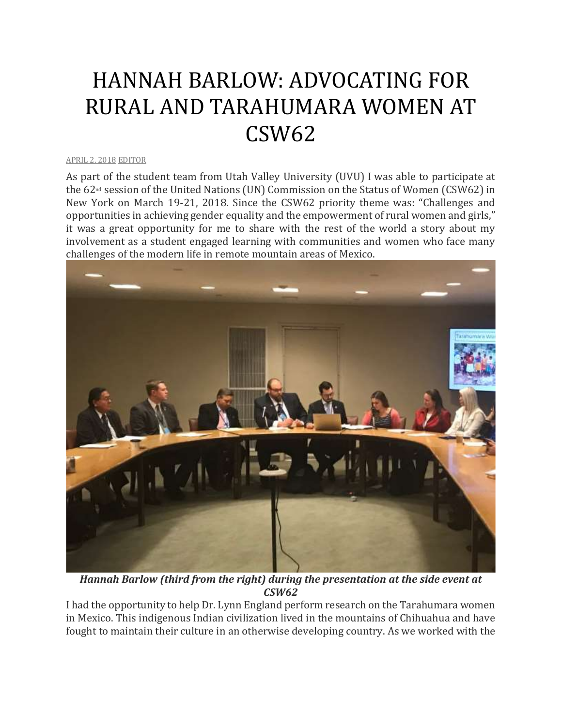## HANNAH BARLOW: ADVOCATING FOR RURAL AND TARAHUMARA WOMEN AT CSW62

## [APRIL](http://utahimf.org/archives/3533) 2, 2018 [EDITOR](http://utahimf.org/archives/author/editor)

As part of the student team from Utah Valley University (UVU) I was able to participate at the 62nd session of the United Nations (UN) Commission on the Status of Women (CSW62) in New York on March 19-21, 2018. Since the CSW62 priority theme was: "Challenges and opportunities in achieving gender equality and the empowerment of rural women and girls," it was a great opportunity for me to share with the rest of the world a story about my involvement as a student engaged learning with communities and women who face many challenges of the modern life in remote mountain areas of Mexico.



*Hannah Barlow (third from the right) during the presentation at the side event at CSW62*

I had the opportunity to help Dr. Lynn England perform research on the Tarahumara women in Mexico. This indigenous Indian civilization lived in the mountains of Chihuahua and have fought to maintain their culture in an otherwise developing country. As we worked with the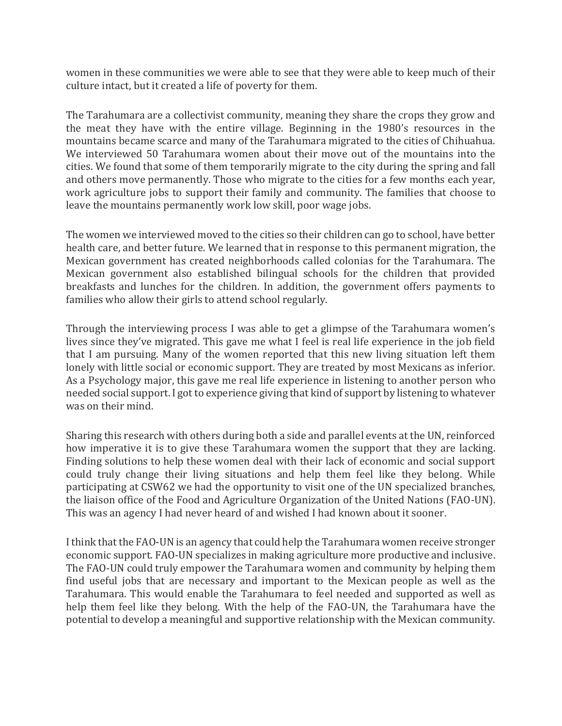women in these communities we were able to see that they were able to keep much of their culture intact, but it created a life of poverty for them.

The Tarahumara are a collectivist community, meaning they share the crops they grow and the meat they have with the entire village. Beginning in the 1980's resources in the mountains became scarce and many of the Tarahumara migrated to the cities of Chihuahua. We interviewed 50 Tarahumara women about their move out of the mountains into the cities. We found that some of them temporarily migrate to the city during the spring and fall and others move permanently. Those who migrate to the cities for a few months each year, work agriculture jobs to support their family and community. The families that choose to leave the mountains permanently work low skill, poor wage jobs.

The women we interviewed moved to the cities so their children can go to school, have better health care, and better future. We learned that in response to this permanent migration, the Mexican government has created neighborhoods called colonias for the Tarahumara. The Mexican government also established bilingual schools for the children that provided breakfasts and lunches for the children. In addition, the government offers payments to families who allow their girls to attend school regularly.

Through the interviewing process I was able to get a glimpse of the Tarahumara women's lives since they've migrated. This gave me what I feel is real life experience in the job field that I am pursuing. Many of the women reported that this new living situation left them lonely with little social or economic support. They are treated by most Mexicans as inferior. As a Psychology major, this gave me real life experience in listening to another person who needed social support. I got to experience giving that kind of support by listening to whatever was on their mind.

Sharing this research with others during both a side and parallel events at the UN, reinforced how imperative it is to give these Tarahumara women the support that they are lacking. Finding solutions to help these women deal with their lack of economic and social support could truly change their living situations and help them feel like they belong. While participating at CSW62 we had the opportunity to visit one of the UN specialized branches, the liaison office of the Food and Agriculture Organization of the United Nations (FAO-UN). This was an agency I had never heard of and wished I had known about it sooner.

I think that the FAO-UN is an agency that could help the Tarahumara women receive stronger economic support. FAO-UN specializes in making agriculture more productive and inclusive. The FAO-UN could truly empower the Tarahumara women and community by helping them find useful jobs that are necessary and important to the Mexican people as well as the Tarahumara. This would enable the Tarahumara to feel needed and supported as well as help them feel like they belong. With the help of the FAO-UN, the Tarahumara have the potential to develop a meaningful and supportive relationship with the Mexican community.